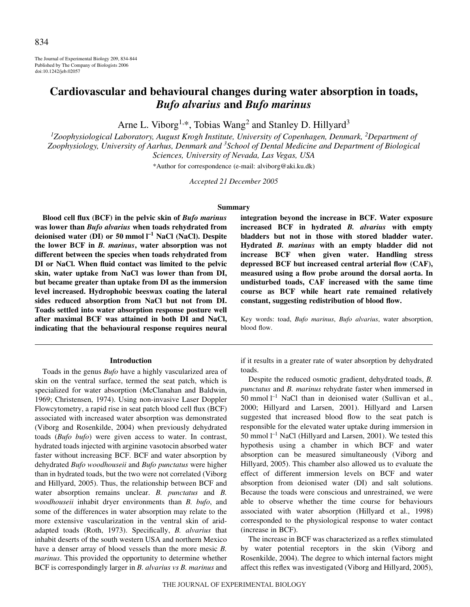The Journal of Experimental Biology 209, 834-844 Published by The Company of Biologists 2006 doi:10.1242/jeb.02057

# **Cardiovascular and behavioural changes during water absorption in toads,** *Bufo alvarius* **and** *Bufo marinus*

Arne L. Viborg<sup>1,\*</sup>, Tobias Wang<sup>2</sup> and Stanley D. Hillyard<sup>3</sup>

<sup>1</sup>Zoophysiological Laboratory, August Krogh Institute, University of Copenhagen, Denmark, <sup>2</sup>Department of *Zoophysiology, University of Aarhus, Denmark and <sup>3</sup> School of Dental Medicine and Department of Biological Sciences, University of Nevada, Las Vegas, USA*

\*Author for correspondence (e-mail: alviborg@aki.ku.dk)

*Accepted 21 December 2005*

### **Summary**

**Blood cell flux (BCF) in the pelvic skin of** *Bufo marinus* **was lower than** *Bufo alvarius* **when toads rehydrated from deionised water (DI) or 50 mmol l<sup>-1</sup> NaCl (NaCl). Despite the lower BCF in** *B. marinus***, water absorption was not different between the species when toads rehydrated from DI or NaCl. When fluid contact was limited to the pelvic skin, water uptake from NaCl was lower than from DI, but became greater than uptake from DI as the immersion level increased. Hydrophobic beeswax coating the lateral sides reduced absorption from NaCl but not from DI. Toads settled into water absorption response posture well after maximal BCF was attained in both DI and NaCl, indicating that the behavioural response requires neural**

### **Introduction**

Toads in the genus *Bufo* have a highly vascularized area of skin on the ventral surface, termed the seat patch, which is specialized for water absorption (McClanahan and Baldwin, 1969; Christensen, 1974). Using non-invasive Laser Doppler Flowcytometry, a rapid rise in seat patch blood cell flux (BCF) associated with increased water absorption was demonstrated (Viborg and Rosenkilde, 2004) when previously dehydrated toads (*Bufo bufo*) were given access to water. In contrast, hydrated toads injected with arginine vasotocin absorbed water faster without increasing BCF. BCF and water absorption by dehydrated *Bufo woodhouseii* and *Bufo punctatus* were higher than in hydrated toads, but the two were not correlated (Viborg and Hillyard, 2005). Thus, the relationship between BCF and water absorption remains unclear. *B. punctatus* and *B. woodhouseii* inhabit dryer environments than *B. bufo*, and some of the differences in water absorption may relate to the more extensive vascularization in the ventral skin of aridadapted toads (Roth, 1973). Specifically, *B. alvarius* that inhabit deserts of the south western USA and northern Mexico have a denser array of blood vessels than the more mesic *B. marinus*. This provided the opportunity to determine whether BCF is correspondingly larger in *B. alvarius vs B. marinus* and

**integration beyond the increase in BCF. Water exposure increased BCF in hydrated** *B. alvarius* **with empty bladders but not in those with stored bladder water. Hydrated** *B. marinus* **with an empty bladder did not increase BCF when given water. Handling stress depressed BCF but increased central arterial flow (CAF), measured using a flow probe around the dorsal aorta. In undisturbed toads, CAF increased with the same time course as BCF while heart rate remained relatively constant, suggesting redistribution of blood flow.**

Key words: toad, *Bufo marinus*, *Bufo alvarius*, water absorption, blood flow.

if it results in a greater rate of water absorption by dehydrated toads.

Despite the reduced osmotic gradient, dehydrated toads, *B. punctatus* and *B. marinus* rehydrate faster when immersed in 50 mmol  $l^{-1}$  NaCl than in deionised water (Sullivan et al., 2000; Hillyard and Larsen, 2001). Hillyard and Larsen suggested that increased blood flow to the seat patch is responsible for the elevated water uptake during immersion in  $50$  mmol  $l^{-1}$  NaCl (Hillyard and Larsen, 2001). We tested this hypothesis using a chamber in which BCF and water absorption can be measured simultaneously (Viborg and Hillyard, 2005). This chamber also allowed us to evaluate the effect of different immersion levels on BCF and water absorption from deionised water (DI) and salt solutions. Because the toads were conscious and unrestrained, we were able to observe whether the time course for behaviours associated with water absorption (Hillyard et al., 1998) corresponded to the physiological response to water contact (increase in BCF).

The increase in BCF was characterized as a reflex stimulated by water potential receptors in the skin (Viborg and Rosenkilde, 2004). The degree to which internal factors might affect this reflex was investigated (Viborg and Hillyard, 2005),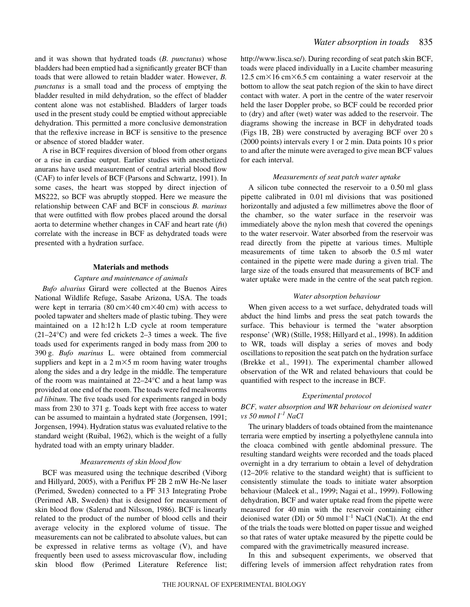and it was shown that hydrated toads (*B. punctatus*) whose bladders had been emptied had a significantly greater BCF than toads that were allowed to retain bladder water. However, *B. punctatus* is a small toad and the process of emptying the bladder resulted in mild dehydration, so the effect of bladder content alone was not established. Bladders of larger toads used in the present study could be emptied without appreciable dehydration. This permitted a more conclusive demonstration that the reflexive increase in BCF is sensitive to the presence or absence of stored bladder water.

A rise in BCF requires diversion of blood from other organs or a rise in cardiac output. Earlier studies with anesthetized anurans have used measurement of central arterial blood flow (CAF) to infer levels of BCF (Parsons and Schwartz, 1991). In some cases, the heart was stopped by direct injection of MS222, so BCF was abruptly stopped. Here we measure the relationship between CAF and BCF in conscious *B. marinus* that were outfitted with flow probes placed around the dorsal aorta to determine whether changes in CAF and heart rate (*f*H) correlate with the increase in BCF as dehydrated toads were presented with a hydration surface.

#### **Materials and methods**

### *Capture and maintenance of animals*

*Bufo alvarius* Girard were collected at the Buenos Aires National Wildlife Refuge, Sasabe Arizona, USA. The toads were kept in terraria  $(80 \text{ cm} \times 40 \text{ cm} \times 40 \text{ cm})$  with access to pooled tapwater and shelters made of plastic tubing. They were maintained on a  $12 h:12 h$  L:D cycle at room temperature  $(21-24\degree C)$  and were fed crickets 2–3 times a week. The five toads used for experiments ranged in body mass from 200 to 390 g. *Bufo marinus* L. were obtained from commercial suppliers and kept in a  $2 \text{ m} \times 5 \text{ m}$  room having water troughs along the sides and a dry ledge in the middle. The temperature of the room was maintained at 22–24°C and a heat lamp was provided at one end of the room. The toads were fed mealworms *ad libitum*. The five toads used for experiments ranged in body mass from 230 to 371 g. Toads kept with free access to water can be assumed to maintain a hydrated state (Jorgensen, 1991; Jorgensen, 1994). Hydration status was evaluated relative to the standard weight (Ruibal, 1962), which is the weight of a fully hydrated toad with an empty urinary bladder.

#### *Measurements of skin blood flow*

BCF was measured using the technique described (Viborg and Hillyard, 2005), with a Periflux PF 2B 2 mW He-Ne laser (Perimed, Sweden) connected to a PF 313 Integrating Probe (Perimed AB, Sweden) that is designed for measurement of skin blood flow (Salerud and Nilsson, 1986). BCF is linearly related to the product of the number of blood cells and their average velocity in the explored volume of tissue. The measurements can not be calibrated to absolute values, but can be expressed in relative terms as voltage (V), and have frequently been used to assess microvascular flow, including skin blood flow (Perimed Literature Reference list;

http://www.lisca.se/). During recording of seat patch skin BCF, toads were placed individually in a Lucite chamber measuring  $12.5 \text{ cm} \times 16 \text{ cm} \times 6.5 \text{ cm}$  containing a water reservoir at the bottom to allow the seat patch region of the skin to have direct contact with water. A port in the centre of the water reservoir held the laser Doppler probe, so BCF could be recorded prior to (dry) and after (wet) water was added to the reservoir. The diagrams showing the increase in BCF in dehydrated toads (Figs 1B, 2B) were constructed by averaging BCF over 20 s  $(2000 \text{ points})$  intervals every 1 or 2 min. Data points 10 s prior to and after the minute were averaged to give mean BCF values for each interval.

### *Measurements of seat patch water uptake*

A silicon tube connected the reservoir to a  $0.50$  ml glass pipette calibrated in 0.01 ml divisions that was positioned horizontally and adjusted a few millimetres above the floor of the chamber, so the water surface in the reservoir was immediately above the nylon mesh that covered the openings to the water reservoir. Water absorbed from the reservoir was read directly from the pipette at various times. Multiple measurements of time taken to absorb the 0.5 ml water contained in the pipette were made during a given trial. The large size of the toads ensured that measurements of BCF and water uptake were made in the centre of the seat patch region.

#### *Water absorption behaviour*

When given access to a wet surface, dehydrated toads will abduct the hind limbs and press the seat patch towards the surface. This behaviour is termed the 'water absorption response' (WR) (Stille, 1958; Hillyard et al., 1998). In addition to WR, toads will display a series of moves and body oscillations to reposition the seat patch on the hydration surface (Brekke et al., 1991). The experimental chamber allowed observation of the WR and related behaviours that could be quantified with respect to the increase in BCF.

### *Experimental protocol*

## *BCF, water absorption and WR behaviour on deionised water vs 50·mmol·l –1 NaCl*

The urinary bladders of toads obtained from the maintenance terraria were emptied by inserting a polyethylene cannula into the cloaca combined with gentle abdominal pressure. The resulting standard weights were recorded and the toads placed overnight in a dry terrarium to obtain a level of dehydration (12–20% relative to the standard weight) that is sufficient to consistently stimulate the toads to initiate water absorption behaviour (Maleek et al., 1999; Nagai et al., 1999). Following dehydration, BCF and water uptake read from the pipette were measured for 40 min with the reservoir containing either deionised water (DI) or 50 mmol  $l^{-1}$  NaCl (NaCl). At the end of the trials the toads were blotted on paper tissue and weighed so that rates of water uptake measured by the pipette could be compared with the gravimetrically measured increase.

In this and subsequent experiments, we observed that differing levels of immersion affect rehydration rates from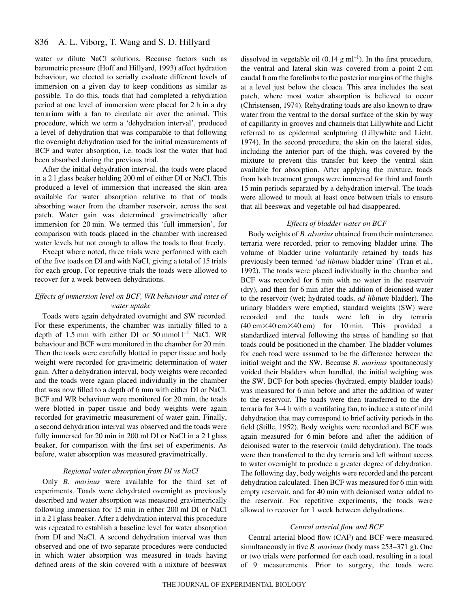water *vs* dilute NaCl solutions. Because factors such as barometric pressure (Hoff and Hillyard, 1993) affect hydration behaviour, we elected to serially evaluate different levels of immersion on a given day to keep conditions as similar as possible. To do this, toads that had completed a rehydration period at one level of immersion were placed for 2 h in a dry terrarium with a fan to circulate air over the animal. This procedure, which we term a 'dehydration interval', produced a level of dehydration that was comparable to that following the overnight dehydration used for the initial measurements of BCF and water absorption, i.e. toads lost the water that had been absorbed during the previous trial.

After the initial dehydration interval, the toads were placed in a 21 glass beaker holding 200 ml of either DI or NaCl. This produced a level of immersion that increased the skin area available for water absorption relative to that of toads absorbing water from the chamber reservoir, across the seat patch. Water gain was determined gravimetrically after immersion for 20 min. We termed this 'full immersion', for comparison with toads placed in the chamber with increased water levels but not enough to allow the toads to float freely.

Except where noted, three trials were performed with each of the five toads on DI and with NaCl, giving a total of 15 trials for each group. For repetitive trials the toads were allowed to recover for a week between dehydrations.

### *Effects of immersion level on BCF, WR behaviour and rates of water uptake*

Toads were again dehydrated overnight and SW recorded. For these experiments, the chamber was initially filled to a depth of 1.5 mm with either DI or 50 mmol  $l^{-1}$  NaCl. WR behaviour and BCF were monitored in the chamber for 20 min. Then the toads were carefully blotted in paper tissue and body weight were recorded for gravimetric determination of water gain. After a dehydration interval, body weights were recorded and the toads were again placed individually in the chamber that was now filled to a depth of 6 mm with either DI or NaCl. BCF and WR behaviour were monitored for 20 min, the toads were blotted in paper tissue and body weights were again recorded for gravimetric measurement of water gain. Finally, a second dehydration interval was observed and the toads were fully immersed for 20 min in 200 ml DI or NaCl in a 2 l glass beaker, for comparison with the first set of experiments. As before, water absorption was measured gravimetrically.

### *Regional water absorption from DI vs NaCl*

Only *B. marinus* were available for the third set of experiments. Toads were dehydrated overnight as previously described and water absorption was measured gravimetrically following immersion for 15 min in either 200 ml DI or NaCl in a 2 l glass beaker. After a dehydration interval this procedure was repeated to establish a baseline level for water absorption from DI and NaCl. A second dehydration interval was then observed and one of two separate procedures were conducted in which water absorption was measured in toads having defined areas of the skin covered with a mixture of beeswax

dissolved in vegetable oil  $(0.14~g~\text{m}l^{-1})$ . In the first procedure, the ventral and lateral skin was covered from a point 2 cm caudal from the forelimbs to the posterior margins of the thighs at a level just below the cloaca. This area includes the seat patch, where most water absorption is believed to occur (Christensen, 1974). Rehydrating toads are also known to draw water from the ventral to the dorsal surface of the skin by way of capillarity in grooves and channels that Lillywhite and Licht referred to as epidermal sculpturing (Lillywhite and Licht, 1974). In the second procedure, the skin on the lateral sides, including the anterior part of the thigh, was covered by the mixture to prevent this transfer but keep the ventral skin available for absorption. After applying the mixture, toads from both treatment groups were immersed for third and fourth 15 min periods separated by a dehydration interval. The toads were allowed to moult at least once between trials to ensure that all beeswax and vegetable oil had disappeared.

### *Effects of bladder water on BCF*

Body weights of *B. alvarius* obtained from their maintenance terraria were recorded, prior to removing bladder urine. The volume of bladder urine voluntarily retained by toads has previously been termed '*ad libitum* bladder urine' (Tran et al., 1992). The toads were placed individually in the chamber and BCF was recorded for 6 min with no water in the reservoir (dry), and then for 6 min after the addition of deionised water to the reservoir (wet; hydrated toads, *ad libitum* bladder). The urinary bladders were emptied, standard weights (SW) were recorded and the toads were left in dry terraria  $(40 \text{ cm} \times 40 \text{ cm} \times 40 \text{ cm})$  for 10 min. This provided a standardized interval following the stress of handling so that toads could be positioned in the chamber. The bladder volumes for each toad were assumed to be the difference between the initial weight and the SW. Because *B. marinus* spontaneously voided their bladders when handled, the initial weighing was the SW. BCF for both species (hydrated, empty bladder toads) was measured for 6 min before and after the addition of water to the reservoir. The toads were then transferred to the dry terraria for 3–4 h with a ventilating fan, to induce a state of mild dehydration that may correspond to brief activity periods in the field (Stille, 1952). Body weights were recorded and BCF was again measured for 6 min before and after the addition of deionised water to the reservoir (mild dehydration). The toads were then transferred to the dry terraria and left without access to water overnight to produce a greater degree of dehydration. The following day, body weights were recorded and the percent dehydration calculated. Then BCF was measured for 6 min with empty reservoir, and for 40 min with deionised water added to the reservoir. For repetitive experiments, the toads were allowed to recover for 1 week between dehydrations.

### *Central arterial flow and BCF*

Central arterial blood flow (CAF) and BCF were measured simultaneously in five *B. marinus* (body mass 253–371 g). One or two trials were performed for each toad, resulting in a total of 9 measurements. Prior to surgery, the toads were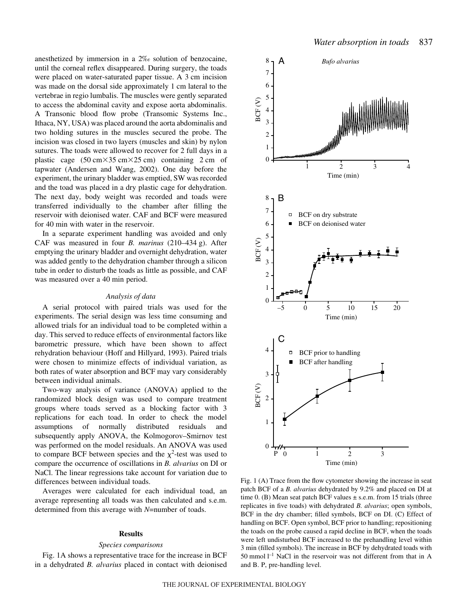anesthetized by immersion in a 2‰ solution of benzocaine, until the corneal reflex disappeared. During surgery, the toads were placed on water-saturated paper tissue. A 3 cm incision was made on the dorsal side approximately 1 cm lateral to the vertebrae in regio lumbalis. The muscles were gently separated to access the abdominal cavity and expose aorta abdominalis. A Transonic blood flow probe (Transomic Systems Inc., Ithaca, NY, USA) was placed around the aorta abdominalis and two holding sutures in the muscles secured the probe. The incision was closed in two layers (muscles and skin) by nylon sutures. The toads were allowed to recover for 2 full days in a plastic cage  $(50 \text{ cm} \times 35 \text{ cm} \times 25 \text{ cm})$  containing 2 cm of tapwater (Andersen and Wang, 2002). One day before the experiment, the urinary bladder was emptied, SW was recorded and the toad was placed in a dry plastic cage for dehydration. The next day, body weight was recorded and toads were transferred individually to the chamber after filling the reservoir with deionised water. CAF and BCF were measured for 40 min with water in the reservoir.

In a separate experiment handling was avoided and only CAF was measured in four *B. marinus* (210–434 g). After emptying the urinary bladder and overnight dehydration, water was added gently to the dehydration chamber through a silicon tube in order to disturb the toads as little as possible, and CAF was measured over a 40 min period.

### *Analysis of data*

A serial protocol with paired trials was used for the experiments. The serial design was less time consuming and allowed trials for an individual toad to be completed within a day. This served to reduce effects of environmental factors like barometric pressure, which have been shown to affect rehydration behaviour (Hoff and Hillyard, 1993). Paired trials were chosen to minimize effects of individual variation, as both rates of water absorption and BCF may vary considerably between individual animals.

Two-way analysis of variance (ANOVA) applied to the randomized block design was used to compare treatment groups where toads served as a blocking factor with 3 replications for each toad. In order to check the model assumptions of normally distributed residuals and subsequently apply ANOVA, the Kolmogorov–Smirnov test was performed on the model residuals. An ANOVA was used to compare BCF between species and the  $\chi^2$ -test was used to compare the occurrence of oscillations in *B. alvarius* on DI or NaCl. The linear regressions take account for variation due to differences between individual toads.

Averages were calculated for each individual toad, an average representing all toads was then calculated and s.e.m. determined from this average with *N*=number of toads.

### **Results**

#### *Species comparisons*

Fig. 1A shows a representative trace for the increase in BCF in a dehydrated *B. alvarius* placed in contact with deionised



Fig. 1 (A) Trace from the flow cytometer showing the increase in seat patch BCF of a *B. alvarius* dehydrated by 9.2% and placed on DI at time 0. (B) Mean seat patch BCF values  $\pm$  s.e.m. from 15 trials (three replicates in five toads) with dehydrated *B. alvarius*; open symbols, BCF in the dry chamber; filled symbols, BCF on DI. (C) Effect of handling on BCF. Open symbol, BCF prior to handling; repositioning the toads on the probe caused a rapid decline in BCF, when the toads were left undisturbed BCF increased to the prehandling level within 3 min (filled symbols). The increase in BCF by dehydrated toads with 50 mmol<sup> $-1$ </sup> NaCl in the reservoir was not different from that in A and B. P, pre-handling level.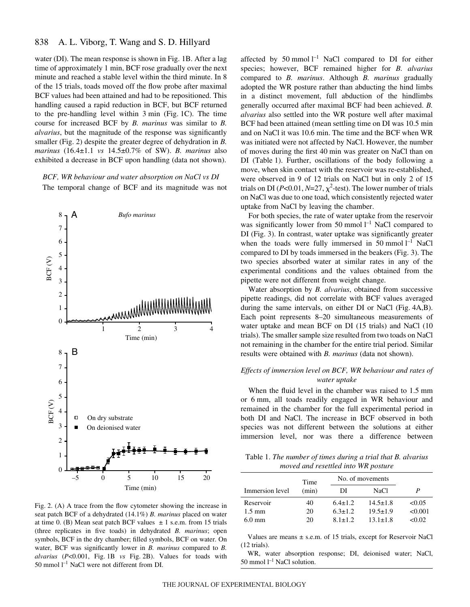water (DI). The mean response is shown in Fig. 1B. After a lag time of approximately 1 min, BCF rose gradually over the next minute and reached a stable level within the third minute. In 8 of the 15 trials, toads moved off the flow probe after maximal BCF values had been attained and had to be repositioned. This handling caused a rapid reduction in BCF, but BCF returned to the pre-handling level within  $3 \text{ min}$  (Fig. 1C). The time course for increased BCF by *B. marinus* was similar to *B. alvarius*, but the magnitude of the response was significantly smaller (Fig. 2) despite the greater degree of dehydration in *B*. *marinus* (16.4±1.1 *vs* 14.5±0.7% of SW). *B. marinus* also exhibited a decrease in BCF upon handling (data not shown).

*BCF, WR behaviour and water absorption on NaCl vs DI* The temporal change of BCF and its magnitude was not



Fig. 2. (A) A trace from the flow cytometer showing the increase in seat patch BCF of a dehydrated (14.1%) *B. marinus* placed on water at time 0. (B) Mean seat patch BCF values  $\pm$  1 s.e.m. from 15 trials (three replicates in five toads) in dehydrated *B. marinus*; open symbols, BCF in the dry chamber; filled symbols, BCF on water. On water, BCF was significantly lower in *B. marinus* compared to *B. alvarius* (*P<*0.001, Fig. 1B *vs* Fig. 2B). Values for toads with 50 mmol  $l^{-1}$  NaCl were not different from DI.

affected by 50 mmol  $l^{-1}$  NaCl compared to DI for either species; however, BCF remained higher for *B. alvarius* compared to *B. marinus*. Although *B. marinus* gradually adopted the WR posture rather than abducting the hind limbs in a distinct movement, full abduction of the hindlimbs generally occurred after maximal BCF had been achieved. *B. alvarius* also settled into the WR posture well after maximal BCF had been attained (mean settling time on DI was 10.5 min and on NaCl it was 10.6 min. The time and the BCF when WR was initiated were not affected by NaCl. However, the number of moves during the first 40 min was greater on NaCl than on DI (Table 1). Further, oscillations of the body following a move, when skin contact with the reservoir was re-established, were observed in 9 of 12 trials on NaCl but in only 2 of 15 trials on DI ( $P<0.01$ ,  $N=27$ ,  $\chi^2$ -test). The lower number of trials on NaCl was due to one toad, which consistently rejected water uptake from NaCl by leaving the chamber.

For both species, the rate of water uptake from the reservoir was significantly lower from 50 mmol  $l^{-1}$  NaCl compared to DI (Fig. 3). In contrast, water uptake was significantly greater when the toads were fully immersed in  $50$  mmol  $l^{-1}$  NaCl compared to DI by toads immersed in the beakers (Fig. 3). The two species absorbed water at similar rates in any of the experimental conditions and the values obtained from the pipette were not different from weight change.

Water absorption by *B. alvarius*, obtained from successive pipette readings, did not correlate with BCF values averaged during the same intervals, on either DI or NaCl (Fig. 4A,B). Each point represents 8–20 simultaneous measurements of water uptake and mean BCF on DI (15 trials) and NaCl (10 trials). The smaller sample size resulted from two toads on NaCl not remaining in the chamber for the entire trial period. Similar results were obtained with *B. marinus* (data not shown).

## *Effects of immersion level on BCF, WR behaviour and rates of water uptake*

When the fluid level in the chamber was raised to 1.5 mm or 6 mm, all toads readily engaged in WR behaviour and remained in the chamber for the full experimental period in both DI and NaCl. The increase in BCF observed in both species was not different between the solutions at either immersion level, nor was there a difference between

Table 1. *The number of times during a trial that B. alvarius moved and resettled into WR posture*

|                  | Time  | No. of movements |                |         |
|------------------|-------|------------------|----------------|---------|
| Immersion level  | (min) | ÐЕ               | NaCl           | P       |
| Reservoir        | 40    | $6.4 + 1.2$      | $14.5 \pm 1.8$ | < 0.05  |
| $1.5 \text{ mm}$ | 20    | $6.3 + 1.2$      | $19.5 \pm 1.9$ | < 0.001 |
| $6.0 \text{ mm}$ | 20    | $81+12$          | $13.1 + 1.8$   | <0.02   |

Values are means ± s.e.m. of 15 trials, except for Reservoir NaCl (12 trials).

WR, water absorption response; DI, deionised water; NaCl, 50 mmol  $l^{-1}$  NaCl solution.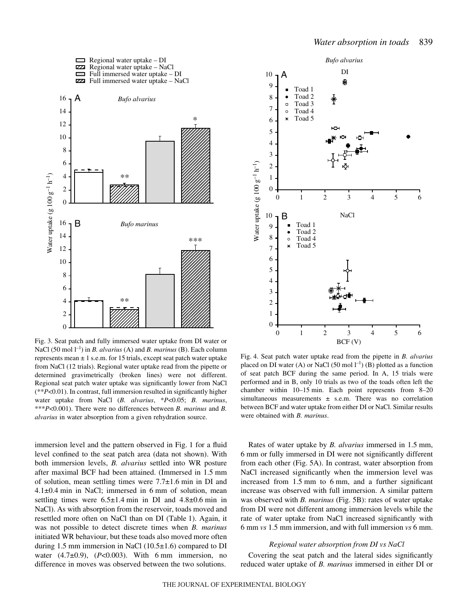



Fig. 3. Seat patch and fully immersed water uptake from DI water or NaCl (50 mol  $l^{-1}$ ) in *B. alvarius* (A) and *B. marinus* (B). Each column represents mean  $\pm 1$  s.e.m. for 15 trials, except seat patch water uptake from NaCl (12 trials). Regional water uptake read from the pipette or determined gravimetrically (broken lines) were not different. Regional seat patch water uptake was significantly lower from NaCl (\*\**P*<0.01). In contrast, full immersion resulted in significantly higher water uptake from NaCl (*B. alvarius*, \**P*<0.05; *B. marinus*, \*\*\**P*<0.001). There were no differences between *B. marinus* and *B. alvarius* in water absorption from a given rehydration source.

immersion level and the pattern observed in Fig. 1 for a fluid level confined to the seat patch area (data not shown). With both immersion levels, *B. alvarius* settled into WR posture after maximal BCF had been attained. (Immersed in 1.5 mm of solution, mean settling times were  $7.7\pm1.6$  min in DI and  $4.1\pm0.4$  min in NaCl; immersed in 6 mm of solution, mean settling times were  $6.5\pm1.4$  min in DI and  $4.8\pm0.6$  min in NaCl). As with absorption from the reservoir, toads moved and resettled more often on NaCl than on DI (Table 1). Again, it was not possible to detect discrete times when *B. marinus* initiated WR behaviour, but these toads also moved more often during 1.5 mm immersion in NaCl  $(10.5\pm1.6)$  compared to DI water  $(4.7\pm0.9)$ ,  $(P<0.003)$ . With 6 mm immersion, no difference in moves was observed between the two solutions.

Fig. 4. Seat patch water uptake read from the pipette in *B. alvarius* placed on DI water (A) or NaCl (50 mol  $l^{-1}$ ) (B) plotted as a function of seat patch BCF during the same period. In A, 15 trials were performed and in B, only 10 trials as two of the toads often left the chamber within  $10-15$  min. Each point represents from  $8-20$ simultaneous measurements  $\pm$  s.e.m. There was no correlation between BCF and water uptake from either DI or NaCl. Similar results were obtained with *B. marinus*.

Rates of water uptake by *B. alvarius* immersed in 1.5 mm, 6·mm or fully immersed in DI were not significantly different from each other (Fig. 5A). In contrast, water absorption from NaCl increased significantly when the immersion level was increased from  $1.5$  mm to 6 mm, and a further significant increase was observed with full immersion. A similar pattern was observed with *B. marinus* (Fig. 5B): rates of water uptake from DI were not different among immersion levels while the rate of water uptake from NaCl increased significantly with 6·mm *vs* 1.5·mm immersion, and with full immersion *vs* 6·mm.

### *Regional water absorption from DI vs NaCl*

Covering the seat patch and the lateral sides significantly reduced water uptake of *B. marinus* immersed in either DI or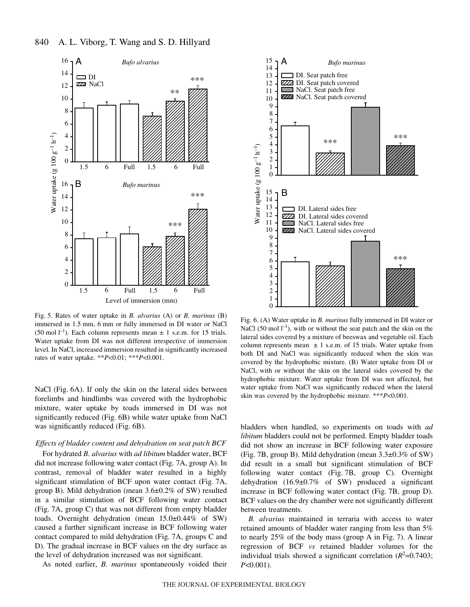

840 A. L. Viborg, T. Wang and S. D. Hillyard

Fig. 5. Rates of water uptake in *B. alvarius* (A) or *B. marinus* (B) immersed in 1.5 mm, 6 mm or fully immersed in DI water or NaCl (50 mol  $l^{-1}$ ). Each column represents mean  $\pm$  1 s.e.m. for 15 trials. Water uptake from DI was not different irrespective of immersion level. In NaCl, increased immersion resulted in significantly increased rates of water uptake. \*\**P*<0.01; \*\*\**P*<0.001.

NaCl (Fig. 6A). If only the skin on the lateral sides between forelimbs and hindlimbs was covered with the hydrophobic mixture, water uptake by toads immersed in DI was not significantly reduced (Fig. 6B) while water uptake from NaCl was significantly reduced (Fig. 6B).

### *Effects of bladder content and dehydration on seat patch BCF*

For hydrated *B. alvarius* with *ad libitum* bladder water, BCF did not increase following water contact (Fig. 7A, group A). In contrast, removal of bladder water resulted in a highly significant stimulation of BCF upon water contact (Fig. 7A, group B). Mild dehydration (mean 3.6±0.2% of SW) resulted in a similar stimulation of BCF following water contact (Fig. 7A, group C) that was not different from empty bladder toads. Overnight dehydration (mean 15.0±0.44% of SW) caused a further significant increase in BCF following water contact compared to mild dehydration (Fig. 7A, groups C and D). The gradual increase in BCF values on the dry surface as the level of dehydration increased was not significant.

As noted earlier, *B. marinus* spontaneously voided their



Fig. 6. (A) Water uptake in *B. marinus* fully immersed in DI water or NaCl (50 mol  $l^{-1}$ ), with or without the seat patch and the skin on the lateral sides covered by a mixture of beeswax and vegetable oil. Each column represents mean  $\pm$  1 s.e.m. of 15 trials. Water uptake from both DI and NaCl was significantly reduced when the skin was covered by the hydrophobic mixture. (B) Water uptake from DI or NaCl, with or without the skin on the lateral sides covered by the hydrophobic mixture. Water uptake from DI was not affected, but water uptake from NaCl was significantly reduced when the lateral skin was covered by the hydrophobic mixture. \*\*\**P*<0.001.

bladders when handled, so experiments on toads with *ad libitum* bladders could not be performed. Empty bladder toads did not show an increase in BCF following water exposure (Fig. 7B, group B). Mild dehydration (mean  $3.3\pm0.3\%$  of SW) did result in a small but significant stimulation of BCF following water contact  $(Fig. 7B, group C)$ . Overnight dehydration  $(16.9 \pm 0.7\%$  of SW) produced a significant increase in BCF following water contact (Fig. 7B, group D). BCF values on the dry chamber were not significantly different between treatments.

*B. alvarius* maintained in terraria with access to water retained amounts of bladder water ranging from less than 5% to nearly  $25\%$  of the body mass (group A in Fig. 7). A linear regression of BCF *vs* retained bladder volumes for the individual trials showed a significant correlation  $(R^2=0.7403)$ ; *P*<0.001).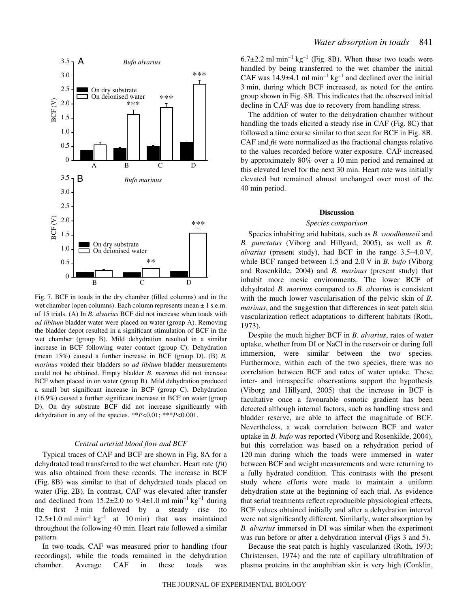

Fig. 7. BCF in toads in the dry chamber (filled columns) and in the wet chamber (open columns). Each column represents mean  $\pm 1$  s.e.m. of 15 trials. (A) In *B. alvarius* BCF did not increase when toads with *ad libitum* bladder water were placed on water (group A). Removing the bladder depot resulted in a significant stimulation of BCF in the wet chamber (group B). Mild dehydration resulted in a similar increase in BCF following water contact (group C). Dehydration (mean 15%) caused a further increase in BCF (group D). (B) *B. marinus* voided their bladders so *ad libitum* bladder measurements could not be obtained. Empty bladder *B. marinus* did not increase BCF when placed in on water (group B). Mild dehydration produced a small but significant increase in BCF (group C). Dehydration (16.9%) caused a further significant increase in BCF on water (group D). On dry substrate BCF did not increase significantly with dehydration in any of the species. \*\**P*<0.01; \*\*\**P*<0.001.

### *Central arterial blood flow and BCF*

Typical traces of CAF and BCF are shown in Fig. 8A for a dehydrated toad transferred to the wet chamber. Heart rate (*f*H) was also obtained from these records. The increase in BCF (Fig. 8B) was similar to that of dehydrated toads placed on water (Fig. 2B). In contrast, CAF was elevated after transfer and declined from  $15.2\pm2.0$  to  $9.4\pm1.0$  ml min<sup>-1</sup> kg<sup>-1</sup> during the first  $3 \text{ min}$  followed by a steady rise (to  $12.5\pm1.0$  ml min<sup>-1</sup> kg<sup>-1</sup> at 10 min) that was maintained throughout the following 40 min. Heart rate followed a similar pattern.

In two toads, CAF was measured prior to handling (four recordings), while the toads remained in the dehydration chamber. Average CAF in these toads was

 $6.7\pm2.2$  ml min<sup>-1</sup> kg<sup>-1</sup> (Fig. 8B). When these two toads were handled by being transferred to the wet chamber the initial CAF was  $14.9\pm4.1$  ml min<sup>-1</sup> kg<sup>-1</sup> and declined over the initial 3 min, during which BCF increased, as noted for the entire group shown in Fig. 8B. This indicates that the observed initial decline in CAF was due to recovery from handling stress.

The addition of water to the dehydration chamber without handling the toads elicited a steady rise in CAF (Fig. 8C) that followed a time course similar to that seen for BCF in Fig. 8B. CAF and *f*H were normalized as the fractional changes relative to the values recorded before water exposure. CAF increased by approximately 80% over a 10 min period and remained at this elevated level for the next 30 min. Heart rate was initially elevated but remained almost unchanged over most of the 40 min period.

#### **Discussion**

#### *Species comparison*

Species inhabiting arid habitats, such as *B. woodhouseii* and *B. punctatus* (Viborg and Hillyard, 2005), as well as *B. alvarius* (present study), had BCF in the range  $3.5-4.0$  V, while BCF ranged between 1.5 and 2.0 V in *B. bufo* (Viborg and Rosenkilde, 2004) and *B. marinus* (present study) that inhabit more mesic environments. The lower BCF of dehydrated *B. marinus* compared to *B. alvarius* is consistent with the much lower vascularisation of the pelvic skin of *B. marinus*, and the suggestion that differences in seat patch skin vascularization reflect adaptations to different habitats (Roth, 1973).

Despite the much higher BCF in *B. alvarius*, rates of water uptake, whether from DI or NaCl in the reservoir or during full immersion, were similar between the two species. Furthermore, within each of the two species, there was no correlation between BCF and rates of water uptake. These inter- and intraspecific observations support the hypothesis (Viborg and Hillyard, 2005) that the increase in BCF is facultative once a favourable osmotic gradient has been detected although internal factors, such as handling stress and bladder reserve, are able to affect the magnitude of BCF. Nevertheless, a weak correlation between BCF and water uptake in *B. bufo* was reported (Viborg and Rosenkilde, 2004), but this correlation was based on a rehydration period of 120 min during which the toads were immersed in water between BCF and weight measurements and were returning to a fully hydrated condition. This contrasts with the present study where efforts were made to maintain a uniform dehydration state at the beginning of each trial. As evidence that serial treatments reflect reproducible physiological effects, BCF values obtained initially and after a dehydration interval were not significantly different. Similarly, water absorption by *B. alvarius* immersed in DI was similar when the experiment was run before or after a dehydration interval (Figs 3 and 5).

Because the seat patch is highly vascularized (Roth, 1973; Christensen, 1974) and the rate of capillary ultrafiltration of plasma proteins in the amphibian skin is very high (Conklin,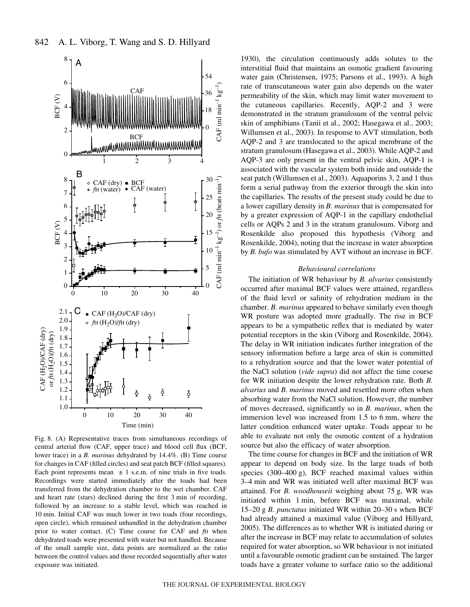

Fig. 8. (A) Representative traces from simultaneous recordings of central arterial flow (CAF, upper trace) and blood cell flux (BCF, lower trace) in a *B. marinus* dehydrated by 14.4%. (B) Time course for changes in CAF (filled circles) and seat patch BCF (filled squares). Each point represents mean  $\pm 1$  s.e.m. of nine trials in five toads. Recordings were started immediately after the toads had been transferred from the dehydration chamber to the wet chamber. CAF and heart rate (stars) declined during the first 3 min of recording, followed by an increase to a stable level, which was reached in 10 min. Initial CAF was much lower in two toads (four recordings, open circle), which remained unhandled in the dehydration chamber prior to water contact. (C) Time course for CAF and *f*H when dehydrated toads were presented with water but not handled. Because of the small sample size, data points are normalized as the ratio between the control values and those recorded sequentially after water exposure was initiated.

1930), the circulation continuously adds solutes to the interstitial fluid that maintains an osmotic gradient favouring water gain (Christensen, 1975; Parsons et al., 1993). A high rate of transcutaneous water gain also depends on the water permeability of the skin, which may limit water movement to the cutaneous capillaries. Recently, AQP-2 and 3 were demonstrated in the stratum granulosum of the ventral pelvic skin of amphibians (Tanii et al., 2002; Hasegawa et al., 2003; Willumsen et al., 2003). In response to AVT stimulation, both AQP-2 and 3 are translocated to the apical membrane of the stratum granulosum (Hasegawa et al., 2003). While AQP-2 and AQP-3 are only present in the ventral pelvic skin, AQP-1 is associated with the vascular system both inside and outside the seat patch (Willumsen et al., 2003). Aquaporins 3, 2 and 1 thus form a serial pathway from the exterior through the skin into the capillaries. The results of the present study could be due to a lower capillary density in *B. marinus* that is compensated for by a greater expression of AQP-1 in the capillary endothelial cells or AQPs 2 and 3 in the stratum granulosum. Viborg and Rosenkilde also proposed this hypothesis (Viborg and Rosenkilde, 2004), noting that the increase in water absorption by *B. bufo* was stimulated by AVT without an increase in BCF.

### *Behavioural correlations*

The initiation of WR behaviour by *B. alvarius* consistently occurred after maximal BCF values were attained, regardless of the fluid level or salinity of rehydration medium in the chamber. *B. marinus* appeared to behave similarly even though WR posture was adopted more gradually. The rise in BCF appears to be a sympathetic reflex that is mediated by water potential receptors in the skin (Viborg and Rosenkilde, 2004). The delay in WR initiation indicates further integration of the sensory information before a large area of skin is committed to a rehydration source and that the lower water potential of the NaCl solution (*vide supra*) did not affect the time course for WR initiation despite the lower rehydration rate. Both *B. alvarius* and *B. marinus* moved and resettled more often when absorbing water from the NaCl solution. However, the number of moves decreased, significantly so in *B. marinus*, when the immersion level was increased from  $1.5$  to 6 mm, where the latter condition enhanced water uptake. Toads appear to be able to evaluate not only the osmotic content of a hydration source but also the efficacy of water absorption.

The time course for changes in BCF and the initiation of WR appear to depend on body size. In the large toads of both species  $(300-400 \text{ g})$ , BCF reached maximal values within 3–4 min and WR was initiated well after maximal BCF was attained. For *B. woodhouseii* weighing about 75·g, WR was initiated within 1 min, before BCF was maximal, while 15–20 g *B. punctatus* initiated WR within 20–30 s when BCF had already attained a maximal value (Viborg and Hillyard, 2005). The differences as to whether WR is initiated during or after the increase in BCF may relate to accumulation of solutes required for water absorption, so WR behaviour is not initiated until a favourable osmotic gradient can be sustained. The larger toads have a greater volume to surface ratio so the additional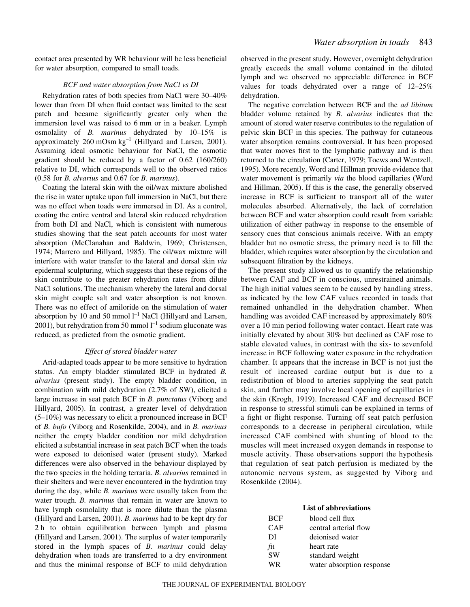contact area presented by WR behaviour will be less beneficial for water absorption, compared to small toads.

### *BCF and water absorption from NaCl vs DI*

Rehydration rates of both species from NaCl were 30–40% lower than from DI when fluid contact was limited to the seat patch and became significantly greater only when the immersion level was raised to 6 mm or in a beaker. Lymph osmolality of *B. marinus* dehydrated by 10–15% is approximately  $260$  mOsm  $kg^{-1}$  (Hillyard and Larsen, 2001). Assuming ideal osmotic behaviour for NaCl, the osmotic gradient should be reduced by a factor of 0.62 (160/260) relative to DI, which corresponds well to the observed ratios (0.58 for *B. alvarius* and 0.67 for *B. marinus*).

Coating the lateral skin with the oil/wax mixture abolished the rise in water uptake upon full immersion in NaCl, but there was no effect when toads were immersed in DI. As a control, coating the entire ventral and lateral skin reduced rehydration from both DI and NaCl, which is consistent with numerous studies showing that the seat patch accounts for most water absorption (McClanahan and Baldwin, 1969; Christensen, 1974; Marrero and Hillyard, 1985). The oil/wax mixture will interfere with water transfer to the lateral and dorsal skin *via* epidermal sculpturing, which suggests that these regions of the skin contribute to the greater rehydration rates from dilute NaCl solutions. The mechanism whereby the lateral and dorsal skin might couple salt and water absorption is not known. There was no effect of amiloride on the stimulation of water absorption by 10 and 50 mmol  $l^{-1}$  NaCl (Hillyard and Larsen, 2001), but rehydration from 50 mmol  $l^{-1}$  sodium gluconate was reduced, as predicted from the osmotic gradient.

### *Effect of stored bladder water*

Arid-adapted toads appear to be more sensitive to hydration status. An empty bladder stimulated BCF in hydrated *B. alvarius* (present study). The empty bladder condition, in combination with mild dehydration (2.7% of SW), elicited a large increase in seat patch BCF in *B. punctatus* (Viborg and Hillyard, 2005). In contrast, a greater level of dehydration (5–10%) was necessary to elicit a pronounced increase in BCF of *B. bufo* (Viborg and Rosenkilde, 2004), and in *B. marinus* neither the empty bladder condition nor mild dehydration elicited a substantial increase in seat patch BCF when the toads were exposed to deionised water (present study). Marked differences were also observed in the behaviour displayed by the two species in the holding terraria. *B. alvarius* remained in their shelters and were never encountered in the hydration tray during the day, while *B. marinus* were usually taken from the water trough. *B. marinus* that remain in water are known to have lymph osmolality that is more dilute than the plasma (Hillyard and Larsen, 2001). *B. marinus* had to be kept dry for 2 h to obtain equilibration between lymph and plasma (Hillyard and Larsen, 2001). The surplus of water temporarily stored in the lymph spaces of *B. marinus* could delay dehydration when toads are transferred to a dry environment and thus the minimal response of BCF to mild dehydration

observed in the present study. However, overnight dehydration greatly exceeds the small volume contained in the diluted lymph and we observed no appreciable difference in BCF values for toads dehydrated over a range of 12–25% dehydration.

The negative correlation between BCF and the *ad libitum* bladder volume retained by *B. alvarius* indicates that the amount of stored water reserve contributes to the regulation of pelvic skin BCF in this species. The pathway for cutaneous water absorption remains controversial. It has been proposed that water moves first to the lymphatic pathway and is then returned to the circulation (Carter, 1979; Toews and Wentzell, 1995). More recently, Word and Hillman provide evidence that water movement is primarily *via* the blood capillaries (Word and Hillman, 2005). If this is the case, the generally observed increase in BCF is sufficient to transport all of the water molecules absorbed. Alternatively, the lack of correlation between BCF and water absorption could result from variable utilization of either pathway in response to the ensemble of sensory cues that conscious animals receive. With an empty bladder but no osmotic stress, the primary need is to fill the bladder, which requires water absorption by the circulation and subsequent filtration by the kidneys.

The present study allowed us to quantify the relationship between CAF and BCF in conscious, unrestrained animals. The high initial values seem to be caused by handling stress, as indicated by the low CAF values recorded in toads that remained unhandled in the dehydration chamber. When handling was avoided CAF increased by approximately 80% over a 10 min period following water contact. Heart rate was initially elevated by about 30% but declined as CAF rose to stable elevated values, in contrast with the six- to sevenfold increase in BCF following water exposure in the rehydration chamber. It appears that the increase in BCF is not just the result of increased cardiac output but is due to a redistribution of blood to arteries supplying the seat patch skin, and further may involve local opening of capillaries in the skin (Krogh, 1919). Increased CAF and decreased BCF in response to stressful stimuli can be explained in terms of a fight or flight response. Turning off seat patch perfusion corresponds to a decrease in peripheral circulation, while increased CAF combined with shunting of blood to the muscles will meet increased oxygen demands in response to muscle activity. These observations support the hypothesis that regulation of seat patch perfusion is mediated by the autonomic nervous system, as suggested by Viborg and Rosenkilde (2004).

### **List of abbreviations**

| BCF       | blood cell flux           |
|-----------|---------------------------|
| CAF       | central arterial flow     |
| DI        | deionised water           |
| fн        | heart rate                |
| <b>SW</b> | standard weight           |
| WR        | water absorption response |